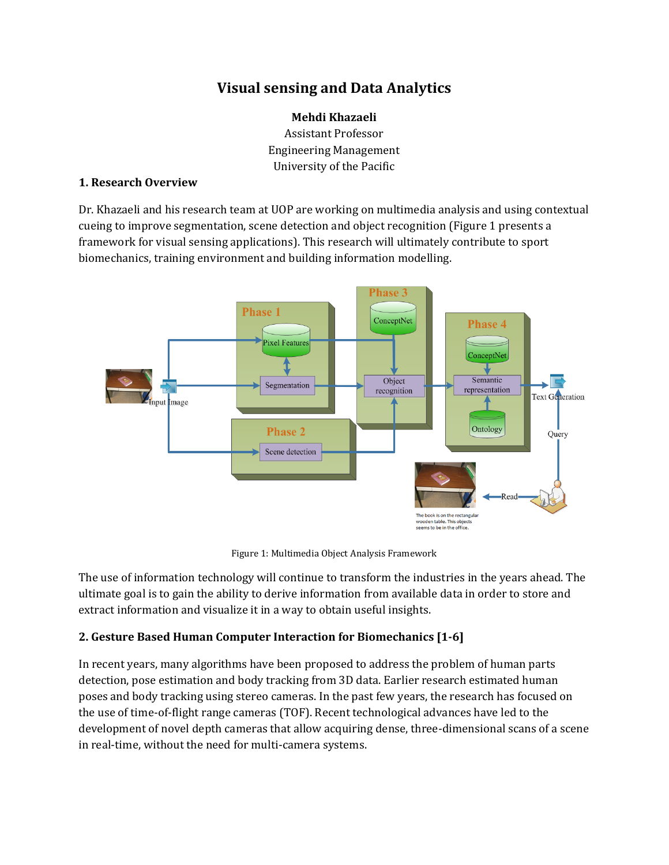# **Visual sensing and Data Analytics**

**Mehdi Khazaeli** Assistant Professor Engineering Management University of the Pacific

### **1. Research Overview**

Dr. Khazaeli and his research team at UOP are working on multimedia analysis and using contextual cueing to improve segmentation, scene detection and object recognition (Figure 1 presents a framework for visual sensing applications). This research will ultimately contribute to sport biomechanics, training environment and building information modelling.



Figure 1: Multimedia Object Analysis Framework

The use of information technology will continue to transform the industries in the years ahead. The ultimate goal is to gain the ability to derive information from available data in order to store and extract information and visualize it in a way to obtain useful insights.

## **2. Gesture Based Human Computer Interaction for Biomechanics [1-6]**

In recent years, many algorithms have been proposed to address the problem of human parts detection, pose estimation and body tracking from 3D data. Earlier research estimated human poses and body tracking using stereo cameras. In the past few years, the research has focused on the use of time-of-flight range cameras (TOF). Recent technological advances have led to the development of novel depth cameras that allow acquiring dense, three-dimensional scans of a scene in real-time, without the need for multi-camera systems.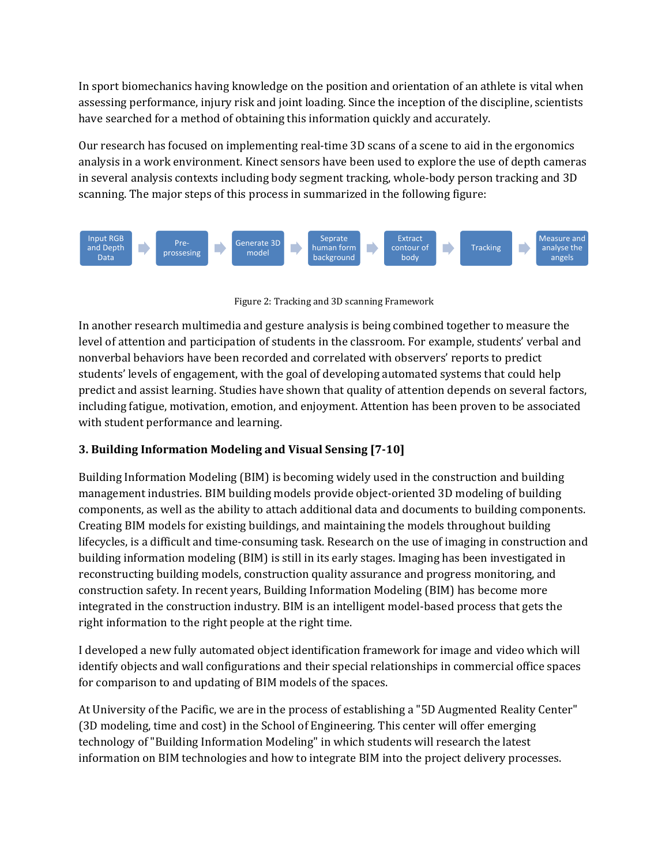In sport biomechanics having knowledge on the position and orientation of an athlete is vital when assessing performance, injury risk and joint loading. Since the inception of the discipline, scientists have searched for a method of obtaining this information quickly and accurately.

Our research has focused on implementing real-time 3D scans of a scene to aid in the ergonomics analysis in a work environment. Kinect sensors have been used to explore the use of depth cameras in several analysis contexts including body segment tracking, whole-body person tracking and 3D scanning. The major steps of this process in summarized in the following figure:



Figure 2: Tracking and 3D scanning Framework

In another research multimedia and gesture analysis is being combined together to measure the level of attention and participation of students in the classroom. For example, students' verbal and nonverbal behaviors have been recorded and correlated with observers' reports to predict students' levels of engagement, with the goal of developing automated systems that could help predict and assist learning. Studies have shown that quality of attention depends on several factors, including fatigue, motivation, emotion, and enjoyment. Attention has been proven to be associated with student performance and learning.

## **3. Building Information Modeling and Visual Sensing [7-10]**

Building Information Modeling (BIM) is becoming widely used in the construction and building management industries. BIM building models provide object-oriented 3D modeling of building components, as well as the ability to attach additional data and documents to building components. Creating BIM models for existing buildings, and maintaining the models throughout building lifecycles, is a difficult and time-consuming task. Research on the use of imaging in construction and building information modeling (BIM) is still in its early stages. Imaging has been investigated in reconstructing building models, construction quality assurance and progress monitoring, and construction safety. In recent years, Building Information Modeling (BIM) has become more integrated in the construction industry. BIM is an intelligent model-based process that gets the right information to the right people at the right time.

I developed a new fully automated object identification framework for image and video which will identify objects and wall configurations and their special relationships in commercial office spaces for comparison to and updating of BIM models of the spaces.

At University of the Pacific, we are in the process of establishing a "5D Augmented Reality Center" (3D modeling, time and cost) in the School of Engineering. This center will offer emerging technology of "Building Information Modeling" in which students will research the latest information on BIM technologies and how to integrate BIM into the project delivery processes.